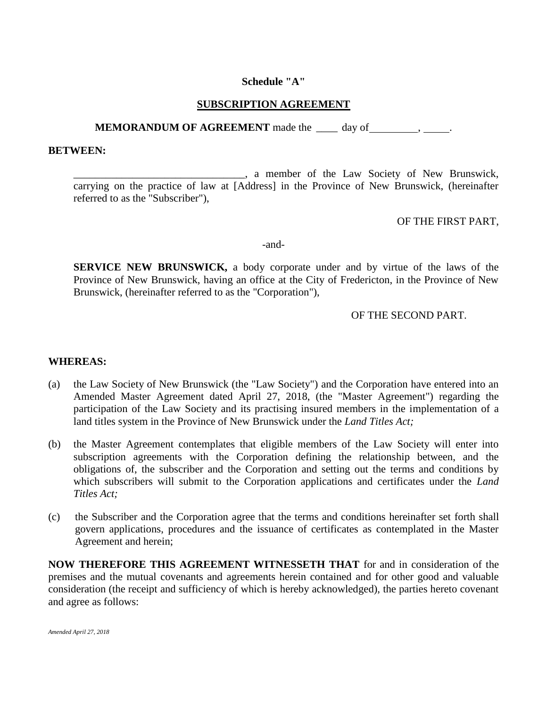## **Schedule "A"**

## **SUBSCRIPTION AGREEMENT**

## **MEMORANDUM OF AGREEMENT** made the \_\_\_\_ day of , ...

#### **BETWEEN:**

\_\_\_\_\_\_\_\_\_\_\_\_\_\_\_\_\_\_\_\_\_\_\_\_\_\_\_\_\_\_\_\_, a member of the Law Society of New Brunswick, carrying on the practice of law at [Address] in the Province of New Brunswick, (hereinafter referred to as the "Subscriber"),

### OF THE FIRST PART,

-and-

**SERVICE NEW BRUNSWICK,** a body corporate under and by virtue of the laws of the Province of New Brunswick, having an office at the City of Fredericton, in the Province of New Brunswick, (hereinafter referred to as the "Corporation"),

## OF THE SECOND PART.

#### **WHEREAS:**

- (a) the Law Society of New Brunswick (the "Law Society") and the Corporation have entered into an Amended Master Agreement dated April 27, 2018, (the "Master Agreement") regarding the participation of the Law Society and its practising insured members in the implementation of a land titles system in the Province of New Brunswick under the *Land Titles Act;*
- (b) the Master Agreement contemplates that eligible members of the Law Society will enter into subscription agreements with the Corporation defining the relationship between, and the obligations of, the subscriber and the Corporation and setting out the terms and conditions by which subscribers will submit to the Corporation applications and certificates under the *Land Titles Act;*
- (c) the Subscriber and the Corporation agree that the terms and conditions hereinafter set forth shall govern applications, procedures and the issuance of certificates as contemplated in the Master Agreement and herein;

**NOW THEREFORE THIS AGREEMENT WITNESSETH THAT** for and in consideration of the premises and the mutual covenants and agreements herein contained and for other good and valuable consideration (the receipt and sufficiency of which is hereby acknowledged), the parties hereto covenant and agree as follows: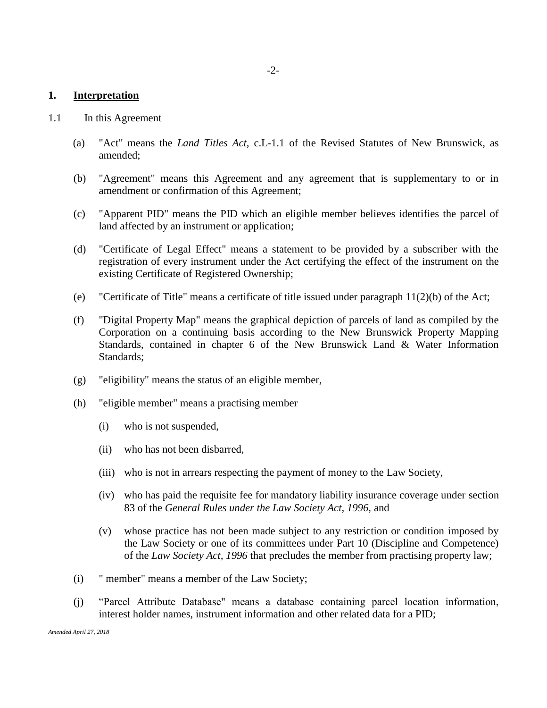#### **1. Interpretation**

- 1.1 In this Agreement
	- (a) "Act" means the *Land Titles Act,* c.L-1.1 of the Revised Statutes of New Brunswick, as amended;
	- (b) "Agreement" means this Agreement and any agreement that is supplementary to or in amendment or confirmation of this Agreement;
	- (c) "Apparent PID" means the PID which an eligible member believes identifies the parcel of land affected by an instrument or application;
	- (d) "Certificate of Legal Effect" means a statement to be provided by a subscriber with the registration of every instrument under the Act certifying the effect of the instrument on the existing Certificate of Registered Ownership;
	- (e) "Certificate of Title" means a certificate of title issued under paragraph  $11(2)(b)$  of the Act;
	- (f) "Digital Property Map" means the graphical depiction of parcels of land as compiled by the Corporation on a continuing basis according to the New Brunswick Property Mapping Standards, contained in chapter 6 of the New Brunswick Land & Water Information Standards;
	- (g) "eligibility" means the status of an eligible member,
	- (h) "eligible member" means a practising member
		- (i) who is not suspended,
		- (ii) who has not been disbarred,
		- (iii) who is not in arrears respecting the payment of money to the Law Society,
		- (iv) who has paid the requisite fee for mandatory liability insurance coverage under section 83 of the *General Rules under the Law Society Act, 1996,* and
		- (v) whose practice has not been made subject to any restriction or condition imposed by the Law Society or one of its committees under Part 10 (Discipline and Competence) of the *Law Society Act, 1996* that precludes the member from practising property law;
	- (i) " member" means a member of the Law Society;
	- (j) "Parcel Attribute Database" means a database containing parcel location information, interest holder names, instrument information and other related data for a PID;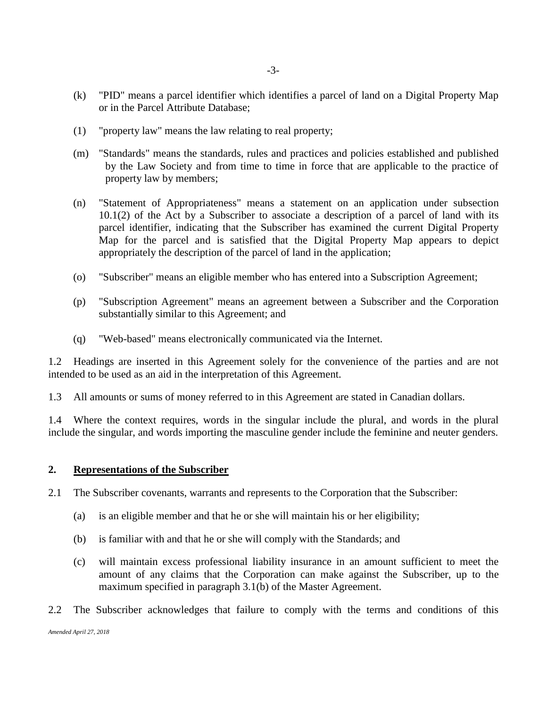- (k) "PID" means a parcel identifier which identifies a parcel of land on a Digital Property Map or in the Parcel Attribute Database;
- (1) "property law" means the law relating to real property;
- (m) "Standards" means the standards, rules and practices and policies established and published by the Law Society and from time to time in force that are applicable to the practice of property law by members;
- (n) "Statement of Appropriateness" means a statement on an application under subsection 10.1(2) of the Act by a Subscriber to associate a description of a parcel of land with its parcel identifier, indicating that the Subscriber has examined the current Digital Property Map for the parcel and is satisfied that the Digital Property Map appears to depict appropriately the description of the parcel of land in the application;
- (o) "Subscriber" means an eligible member who has entered into a Subscription Agreement;
- (p) "Subscription Agreement" means an agreement between a Subscriber and the Corporation substantially similar to this Agreement; and
- (q) "Web-based" means electronically communicated via the Internet.

1.2 Headings are inserted in this Agreement solely for the convenience of the parties and are not intended to be used as an aid in the interpretation of this Agreement.

1.3 All amounts or sums of money referred to in this Agreement are stated in Canadian dollars.

1.4 Where the context requires, words in the singular include the plural, and words in the plural include the singular, and words importing the masculine gender include the feminine and neuter genders.

#### **2. Representations of the Subscriber**

- 2.1 The Subscriber covenants, warrants and represents to the Corporation that the Subscriber:
	- (a) is an eligible member and that he or she will maintain his or her eligibility;
	- (b) is familiar with and that he or she will comply with the Standards; and
	- (c) will maintain excess professional liability insurance in an amount sufficient to meet the amount of any claims that the Corporation can make against the Subscriber, up to the maximum specified in paragraph 3.1(b) of the Master Agreement.
- 2.2 The Subscriber acknowledges that failure to comply with the terms and conditions of this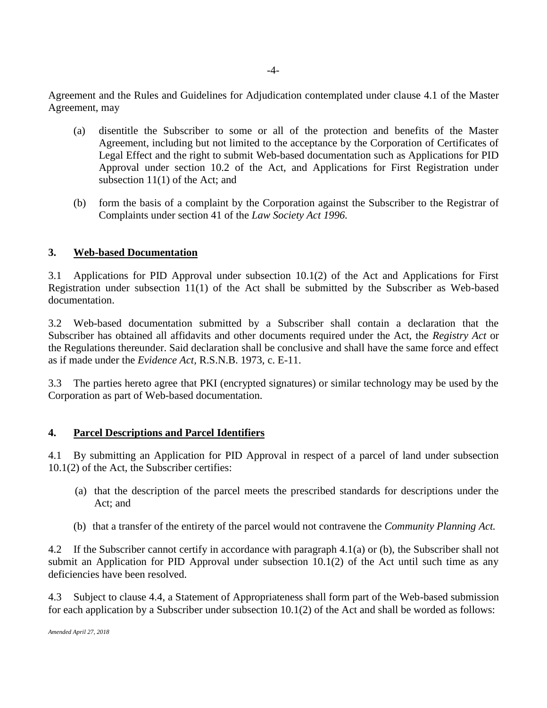Agreement and the Rules and Guidelines for Adjudication contemplated under clause 4.1 of the Master Agreement, may

- (a) disentitle the Subscriber to some or all of the protection and benefits of the Master Agreement, including but not limited to the acceptance by the Corporation of Certificates of Legal Effect and the right to submit Web-based documentation such as Applications for PID Approval under section 10.2 of the Act, and Applications for First Registration under subsection 11(1) of the Act; and
- (b) form the basis of a complaint by the Corporation against the Subscriber to the Registrar of Complaints under section 41 of the *Law Society Act 1996.*

## **3. Web-based Documentation**

3.1 Applications for PID Approval under subsection 10.1(2) of the Act and Applications for First Registration under subsection 11(1) of the Act shall be submitted by the Subscriber as Web-based documentation.

3.2 Web-based documentation submitted by a Subscriber shall contain a declaration that the Subscriber has obtained all affidavits and other documents required under the Act, the *Registry Act* or the Regulations thereunder. Said declaration shall be conclusive and shall have the same force and effect as if made under the *Evidence Act,* R.S.N.B. 1973, c. E-11.

3.3 The parties hereto agree that PKI (encrypted signatures) or similar technology may be used by the Corporation as part of Web-based documentation.

## **4. Parcel Descriptions and Parcel Identifiers**

4.1 By submitting an Application for PID Approval in respect of a parcel of land under subsection 10.1(2) of the Act, the Subscriber certifies:

- (a) that the description of the parcel meets the prescribed standards for descriptions under the Act; and
- (b) that a transfer of the entirety of the parcel would not contravene the *Community Planning Act.*

4.2 If the Subscriber cannot certify in accordance with paragraph 4.1(a) or (b), the Subscriber shall not submit an Application for PID Approval under subsection 10.1(2) of the Act until such time as any deficiencies have been resolved.

4.3 Subject to clause 4.4, a Statement of Appropriateness shall form part of the Web-based submission for each application by a Subscriber under subsection 10.1(2) of the Act and shall be worded as follows: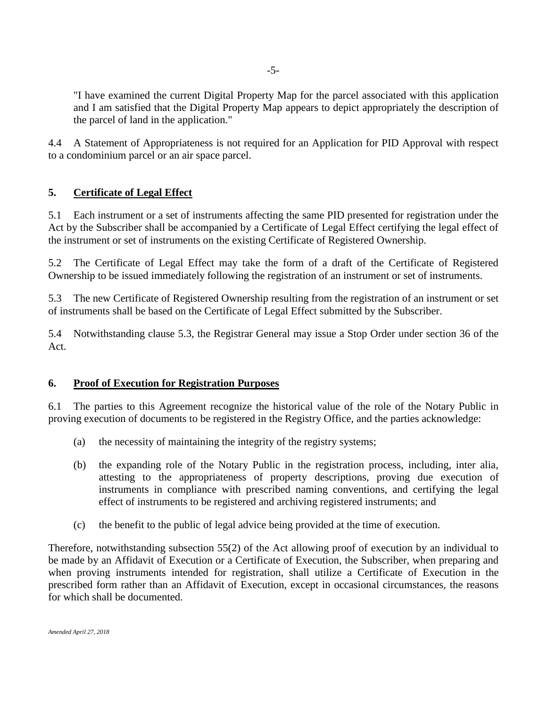"I have examined the current Digital Property Map for the parcel associated with this application and I am satisfied that the Digital Property Map appears to depict appropriately the description of the parcel of land in the application."

4.4 A Statement of Appropriateness is not required for an Application for PID Approval with respect to a condominium parcel or an air space parcel.

# **5. Certificate of Legal Effect**

5.1 Each instrument or a set of instruments affecting the same PID presented for registration under the Act by the Subscriber shall be accompanied by a Certificate of Legal Effect certifying the legal effect of the instrument or set of instruments on the existing Certificate of Registered Ownership.

5.2 The Certificate of Legal Effect may take the form of a draft of the Certificate of Registered Ownership to be issued immediately following the registration of an instrument or set of instruments.

5.3 The new Certificate of Registered Ownership resulting from the registration of an instrument or set of instruments shall be based on the Certificate of Legal Effect submitted by the Subscriber.

5.4 Notwithstanding clause 5.3, the Registrar General may issue a Stop Order under section 36 of the Act.

## **6. Proof of Execution for Registration Purposes**

6.1 The parties to this Agreement recognize the historical value of the role of the Notary Public in proving execution of documents to be registered in the Registry Office, and the parties acknowledge:

- (a) the necessity of maintaining the integrity of the registry systems;
- (b) the expanding role of the Notary Public in the registration process, including, inter alia, attesting to the appropriateness of property descriptions, proving due execution of instruments in compliance with prescribed naming conventions, and certifying the legal effect of instruments to be registered and archiving registered instruments; and
- (c) the benefit to the public of legal advice being provided at the time of execution.

Therefore, notwithstanding subsection 55(2) of the Act allowing proof of execution by an individual to be made by an Affidavit of Execution or a Certificate of Execution, the Subscriber, when preparing and when proving instruments intended for registration, shall utilize a Certificate of Execution in the prescribed form rather than an Affidavit of Execution, except in occasional circumstances, the reasons for which shall be documented.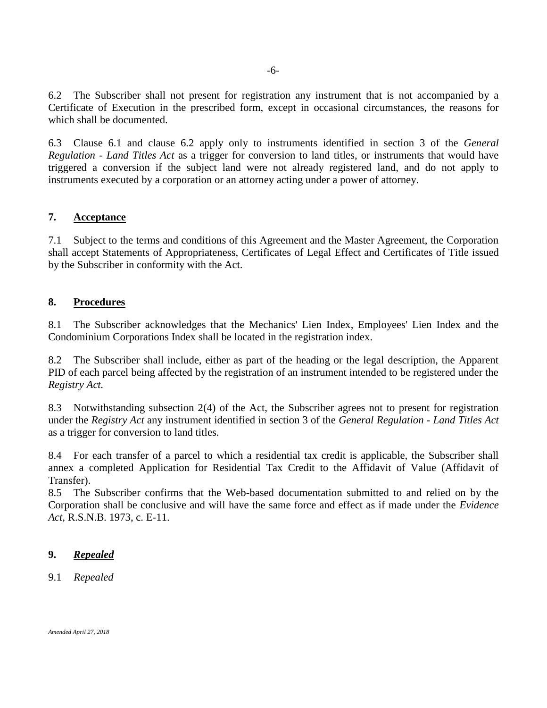6.2 The Subscriber shall not present for registration any instrument that is not accompanied by a Certificate of Execution in the prescribed form, except in occasional circumstances, the reasons for which shall be documented.

6.3 Clause 6.1 and clause 6.2 apply only to instruments identified in section 3 of the *General Regulation - Land Titles Act* as a trigger for conversion to land titles, or instruments that would have triggered a conversion if the subject land were not already registered land, and do not apply to instruments executed by a corporation or an attorney acting under a power of attorney.

## **7. Acceptance**

7.1 Subject to the terms and conditions of this Agreement and the Master Agreement, the Corporation shall accept Statements of Appropriateness, Certificates of Legal Effect and Certificates of Title issued by the Subscriber in conformity with the Act.

### **8. Procedures**

8.1 The Subscriber acknowledges that the Mechanics' Lien Index, Employees' Lien Index and the Condominium Corporations Index shall be located in the registration index.

8.2 The Subscriber shall include, either as part of the heading or the legal description, the Apparent PID of each parcel being affected by the registration of an instrument intended to be registered under the *Registry Act.*

8.3 Notwithstanding subsection 2(4) of the Act, the Subscriber agrees not to present for registration under the *Registry Act* any instrument identified in section 3 of the *General Regulation - Land Titles Act*  as a trigger for conversion to land titles.

8.4 For each transfer of a parcel to which a residential tax credit is applicable, the Subscriber shall annex a completed Application for Residential Tax Credit to the Affidavit of Value (Affidavit of Transfer).

8.5 The Subscriber confirms that the Web-based documentation submitted to and relied on by the Corporation shall be conclusive and will have the same force and effect as if made under the *Evidence Act,* R.S.N.B. 1973, c. E-11.

#### **9.** *Repealed*

#### 9.1 *Repealed*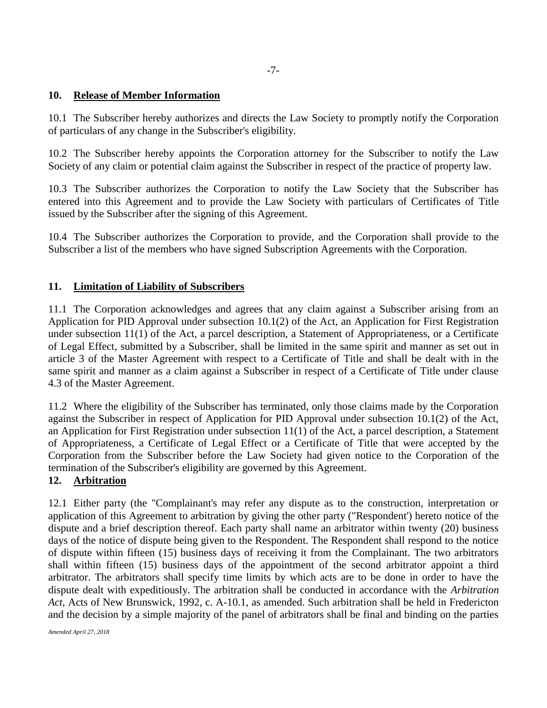## **10. Release of Member Information**

10.1 The Subscriber hereby authorizes and directs the Law Society to promptly notify the Corporation of particulars of any change in the Subscriber's eligibility.

10.2 The Subscriber hereby appoints the Corporation attorney for the Subscriber to notify the Law Society of any claim or potential claim against the Subscriber in respect of the practice of property law.

10.3 The Subscriber authorizes the Corporation to notify the Law Society that the Subscriber has entered into this Agreement and to provide the Law Society with particulars of Certificates of Title issued by the Subscriber after the signing of this Agreement.

10.4 The Subscriber authorizes the Corporation to provide, and the Corporation shall provide to the Subscriber a list of the members who have signed Subscription Agreements with the Corporation.

## **11. Limitation of Liability of Subscribers**

11.1 The Corporation acknowledges and agrees that any claim against a Subscriber arising from an Application for PID Approval under subsection 10.1(2) of the Act, an Application for First Registration under subsection 11(1) of the Act, a parcel description, a Statement of Appropriateness, or a Certificate of Legal Effect, submitted by a Subscriber, shall be limited in the same spirit and manner as set out in article 3 of the Master Agreement with respect to a Certificate of Title and shall be dealt with in the same spirit and manner as a claim against a Subscriber in respect of a Certificate of Title under clause 4.3 of the Master Agreement.

11.2 Where the eligibility of the Subscriber has terminated, only those claims made by the Corporation against the Subscriber in respect of Application for PID Approval under subsection 10.1(2) of the Act, an Application for First Registration under subsection 11(1) of the Act, a parcel description, a Statement of Appropriateness, a Certificate of Legal Effect or a Certificate of Title that were accepted by the Corporation from the Subscriber before the Law Society had given notice to the Corporation of the termination of the Subscriber's eligibility are governed by this Agreement.

## **12. Arbitration**

12.1 Either party (the "Complainant's may refer any dispute as to the construction, interpretation or application of this Agreement to arbitration by giving the other party ("Respondent') hereto notice of the dispute and a brief description thereof. Each party shall name an arbitrator within twenty (20) business days of the notice of dispute being given to the Respondent. The Respondent shall respond to the notice of dispute within fifteen (15) business days of receiving it from the Complainant. The two arbitrators shall within fifteen (15) business days of the appointment of the second arbitrator appoint a third arbitrator. The arbitrators shall specify time limits by which acts are to be done in order to have the dispute dealt with expeditiously. The arbitration shall be conducted in accordance with the *Arbitration Act,* Acts of New Brunswick, 1992, c. A-10.1, as amended. Such arbitration shall be held in Fredericton and the decision by a simple majority of the panel of arbitrators shall be final and binding on the parties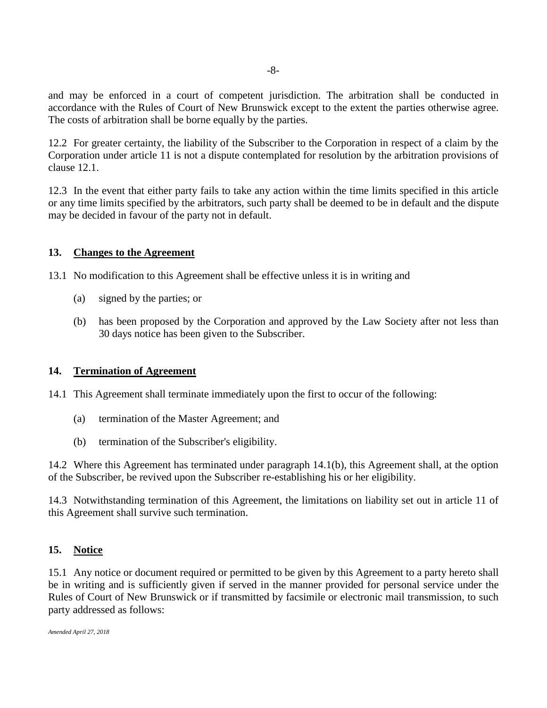and may be enforced in a court of competent jurisdiction. The arbitration shall be conducted in accordance with the Rules of Court of New Brunswick except to the extent the parties otherwise agree. The costs of arbitration shall be borne equally by the parties.

12.2 For greater certainty, the liability of the Subscriber to the Corporation in respect of a claim by the Corporation under article 11 is not a dispute contemplated for resolution by the arbitration provisions of clause 12.1.

12.3 In the event that either party fails to take any action within the time limits specified in this article or any time limits specified by the arbitrators, such party shall be deemed to be in default and the dispute may be decided in favour of the party not in default.

## **13. Changes to the Agreement**

13.1 No modification to this Agreement shall be effective unless it is in writing and

- (a) signed by the parties; or
- (b) has been proposed by the Corporation and approved by the Law Society after not less than 30 days notice has been given to the Subscriber.

# **14. Termination of Agreement**

14.1 This Agreement shall terminate immediately upon the first to occur of the following:

- (a) termination of the Master Agreement; and
- (b) termination of the Subscriber's eligibility.

14.2 Where this Agreement has terminated under paragraph 14.1(b), this Agreement shall, at the option of the Subscriber, be revived upon the Subscriber re-establishing his or her eligibility.

14.3 Notwithstanding termination of this Agreement, the limitations on liability set out in article 11 of this Agreement shall survive such termination.

## **15. Notice**

15.1 Any notice or document required or permitted to be given by this Agreement to a party hereto shall be in writing and is sufficiently given if served in the manner provided for personal service under the Rules of Court of New Brunswick or if transmitted by facsimile or electronic mail transmission, to such party addressed as follows: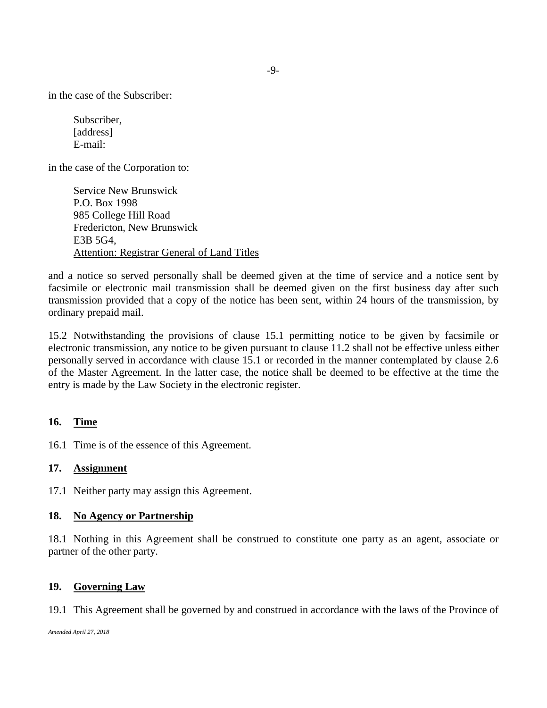in the case of the Subscriber:

Subscriber, [address] E-mail:

in the case of the Corporation to:

Service New Brunswick P.O. Box 1998 985 College Hill Road Fredericton, New Brunswick E3B 5G4, Attention: [Registrar](mailto:Registrar) General of Land Titles

and a notice so served personally shall be deemed given at the time of service and a notice sent by facsimile or electronic mail transmission shall be deemed given on the first business day after such transmission provided that a copy of the notice has been sent, within 24 hours of the transmission, by ordinary prepaid mail.

15.2 Notwithstanding the provisions of clause 15.1 permitting notice to be given by facsimile or electronic transmission, any notice to be given pursuant to clause 11.2 shall not be effective unless either personally served in accordance with clause 15.1 or recorded in the manner contemplated by clause 2.6 of the Master Agreement. In the latter case, the notice shall be deemed to be effective at the time the entry is made by the Law Society in the electronic register.

## **16. Time**

16.1 Time is of the essence of this Agreement.

#### **17. Assignment**

17.1 Neither party may assign this Agreement.

#### **18. No Agency or Partnership**

18.1 Nothing in this Agreement shall be construed to constitute one party as an agent, associate or partner of the other party.

#### **19. Governing Law**

19.1 This Agreement shall be governed by and construed in accordance with the laws of the Province of